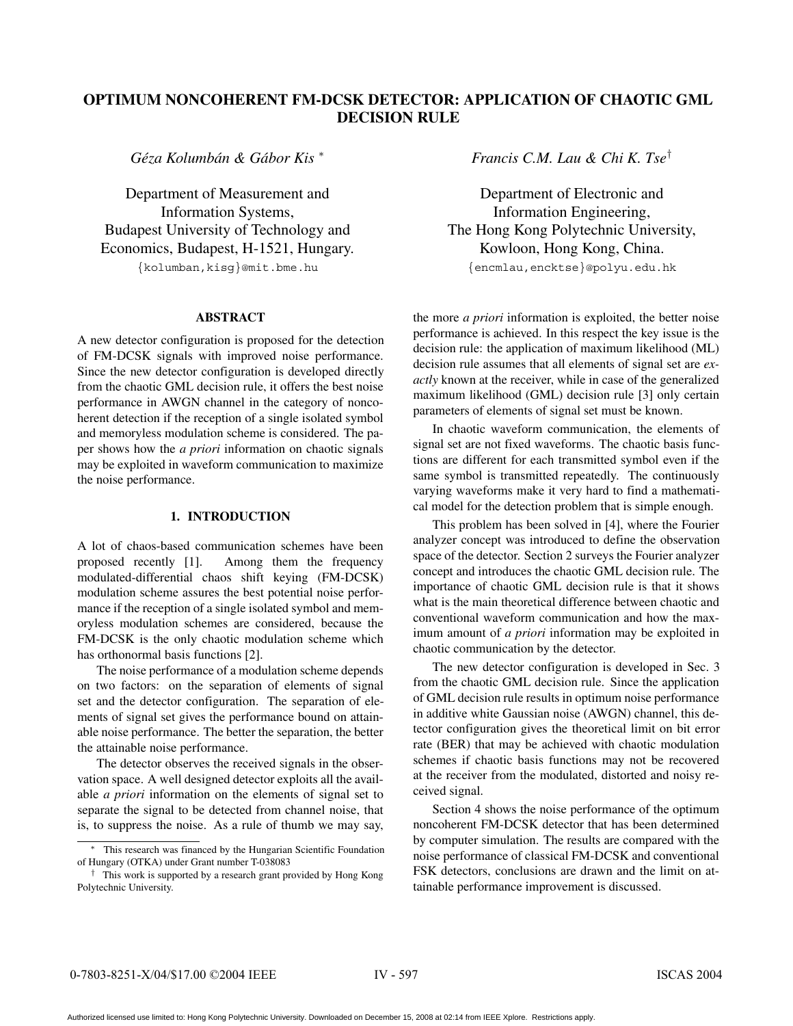# **OPTIMUM NONCOHERENT FM-DCSK DETECTOR: APPLICATION OF CHAOTIC GML DECISION RULE**

*Géza Kolumbán & Gábor Kis* <sup>∗</sup>

Department of Measurement and Information Systems, Budapest University of Technology and Economics, Budapest, H-1521, Hungary. {kolumban,kisg}@mit.bme.hu

# **ABSTRACT**

A new detector configuration is proposed for the detection of FM-DCSK signals with improved noise performance. Since the new detector configuration is developed directly from the chaotic GML decision rule, it offers the best noise performance in AWGN channel in the category of noncoherent detection if the reception of a single isolated symbol and memoryless modulation scheme is considered. The paper shows how the *a priori* information on chaotic signals may be exploited in waveform communication to maximize the noise performance.

# **1. INTRODUCTION**

A lot of chaos-based communication schemes have been proposed recently [1]. Among them the frequency modulated-differential chaos shift keying (FM-DCSK) modulation scheme assures the best potential noise performance if the reception of a single isolated symbol and memoryless modulation schemes are considered, because the FM-DCSK is the only chaotic modulation scheme which has orthonormal basis functions [2].

The noise performance of a modulation scheme depends on two factors: on the separation of elements of signal set and the detector configuration. The separation of elements of signal set gives the performance bound on attainable noise performance. The better the separation, the better the attainable noise performance.

The detector observes the received signals in the observation space. A well designed detector exploits all the available *a priori* information on the elements of signal set to separate the signal to be detected from channel noise, that is, to suppress the noise. As a rule of thumb we may say, *Francis C.M. Lau & Chi K. Tse*†

Department of Electronic and Information Engineering, The Hong Kong Polytechnic University, Kowloon, Hong Kong, China. {encmlau,encktse}@polyu.edu.hk

the more *a priori* information is exploited, the better noise performance is achieved. In this respect the key issue is the decision rule: the application of maximum likelihood (ML) decision rule assumes that all elements of signal set are *exactly* known at the receiver, while in case of the generalized maximum likelihood (GML) decision rule [3] only certain parameters of elements of signal set must be known.

In chaotic waveform communication, the elements of signal set are not fixed waveforms. The chaotic basis functions are different for each transmitted symbol even if the same symbol is transmitted repeatedly. The continuously varying waveforms make it very hard to find a mathematical model for the detection problem that is simple enough.

This problem has been solved in [4], where the Fourier analyzer concept was introduced to define the observation space of the detector. Section 2 surveys the Fourier analyzer concept and introduces the chaotic GML decision rule. The importance of chaotic GML decision rule is that it shows what is the main theoretical difference between chaotic and conventional waveform communication and how the maximum amount of *a priori* information may be exploited in chaotic communication by the detector.

The new detector configuration is developed in Sec. 3 from the chaotic GML decision rule. Since the application of GML decision rule results in optimum noise performance in additive white Gaussian noise (AWGN) channel, this detector configuration gives the theoretical limit on bit error rate (BER) that may be achieved with chaotic modulation schemes if chaotic basis functions may not be recovered at the receiver from the modulated, distorted and noisy received signal.

Section 4 shows the noise performance of the optimum noncoherent FM-DCSK detector that has been determined by computer simulation. The results are compared with the noise performance of classical FM-DCSK and conventional FSK detectors, conclusions are drawn and the limit on attainable performance improvement is discussed.

This research was financed by the Hungarian Scientific Foundation of Hungary (OTKA) under Grant number T-038083

<sup>†</sup> This work is supported by a research grant provided by Hong Kong Polytechnic University.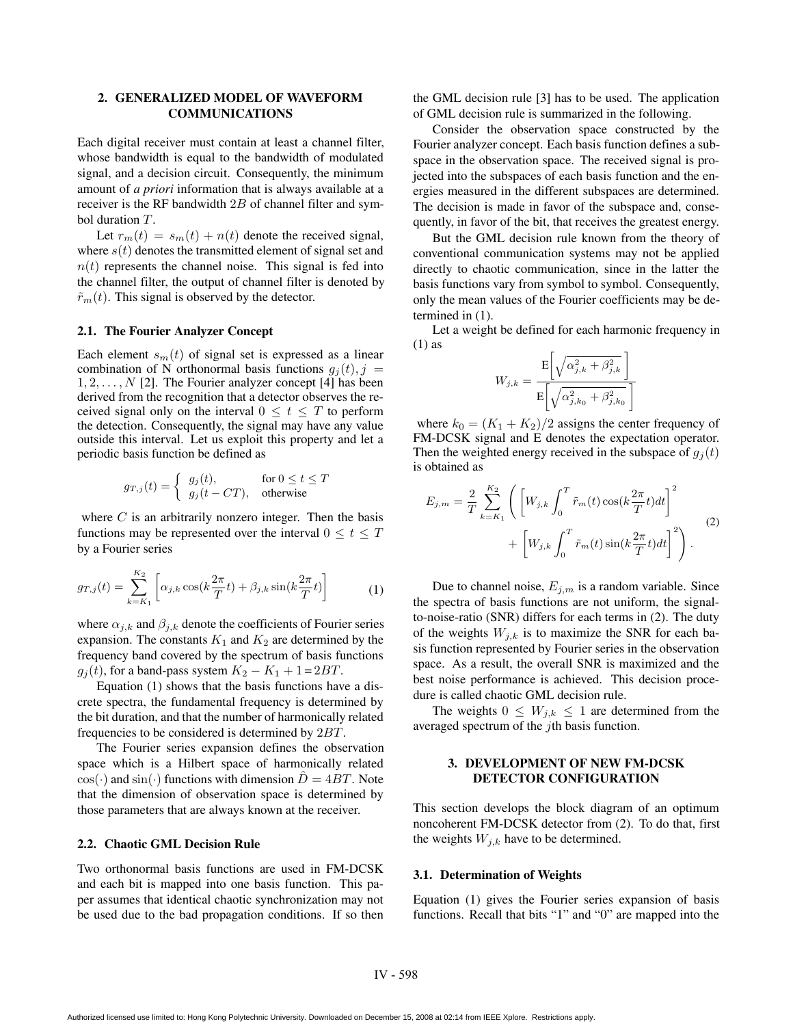# **2. GENERALIZED MODEL OF WAVEFORM COMMUNICATIONS**

Each digital receiver must contain at least a channel filter, whose bandwidth is equal to the bandwidth of modulated signal, and a decision circuit. Consequently, the minimum amount of *a priori* information that is always available at a receiver is the RF bandwidth  $2B$  of channel filter and symbol duration T.

Let  $r_m(t) = s_m(t) + n(t)$  denote the received signal, where  $s(t)$  denotes the transmitted element of signal set and  $n(t)$  represents the channel noise. This signal is fed into the channel filter, the output of channel filter is denoted by  $\tilde{r}_m(t)$ . This signal is observed by the detector.

#### **2.1. The Fourier Analyzer Concept**

Each element  $s_m(t)$  of signal set is expressed as a linear combination of N orthonormal basis functions  $g_i(t)$ ,  $j =$  $1, 2, \ldots, N$  [2]. The Fourier analyzer concept [4] has been derived from the recognition that a detector observes the received signal only on the interval  $0 \le t \le T$  to perform the detection. Consequently, the signal may have any value outside this interval. Let us exploit this property and let a periodic basis function be defined as

$$
g_{T,j}(t) = \begin{cases} g_j(t), & \text{for } 0 \le t \le T \\ g_j(t - CT), & \text{otherwise} \end{cases}
$$

where  $C$  is an arbitrarily nonzero integer. Then the basis functions may be represented over the interval  $0 \le t \le T$ by a Fourier series

$$
g_{T,j}(t) = \sum_{k=K_1}^{K_2} \left[ \alpha_{j,k} \cos(k \frac{2\pi}{T} t) + \beta_{j,k} \sin(k \frac{2\pi}{T} t) \right]
$$
(1)

where  $\alpha_{j,k}$  and  $\beta_{j,k}$  denote the coefficients of Fourier series expansion. The constants  $K_1$  and  $K_2$  are determined by the frequency band covered by the spectrum of basis functions  $g_j(t)$ , for a band-pass system  $K_2 - K_1 + 1 = 2BT$ .

Equation (1) shows that the basis functions have a discrete spectra, the fundamental frequency is determined by the bit duration, and that the number of harmonically related frequencies to be considered is determined by <sup>2</sup>BT.

The Fourier series expansion defines the observation space which is a Hilbert space of harmonically related  $\cos(\cdot)$  and  $\sin(\cdot)$  functions with dimension  $D = 4BT$ . Note that the dimension of observation space is determined by those parameters that are always known at the receiver.

#### **2.2. Chaotic GML Decision Rule**

Two orthonormal basis functions are used in FM-DCSK and each bit is mapped into one basis function. This paper assumes that identical chaotic synchronization may not be used due to the bad propagation conditions. If so then

the GML decision rule [3] has to be used. The application of GML decision rule is summarized in the following.

Consider the observation space constructed by the Fourier analyzer concept. Each basis function defines a subspace in the observation space. The received signal is projected into the subspaces of each basis function and the energies measured in the different subspaces are determined. The decision is made in favor of the subspace and, consequently, in favor of the bit, that receives the greatest energy.

But the GML decision rule known from the theory of conventional communication systems may not be applied directly to chaotic communication, since in the latter the basis functions vary from symbol to symbol. Consequently, only the mean values of the Fourier coefficients may be determined in (1).

Let a weight be defined for each harmonic frequency in (1) as

$$
W_{j,k} = \frac{\mathrm{E}\bigg[\sqrt{\alpha_{j,k}^2 + \beta_{j,k}^2}\,\bigg]}{\mathrm{E}\bigg[\sqrt{\alpha_{j,k_0}^2 + \beta_{j,k_0}^2}\,\bigg]}
$$

where  $k_0 = (K_1 + K_2)/2$  assigns the center frequency of FM-DCSK signal and E denotes the expectation operator. Then the weighted energy received in the subspace of  $g_i(t)$ is obtained as

$$
E_{j,m} = \frac{2}{T} \sum_{k=K_1}^{K_2} \left( \left[ W_{j,k} \int_0^T \tilde{r}_m(t) \cos(k \frac{2\pi}{T} t) dt \right]^2 + \left[ W_{j,k} \int_0^T \tilde{r}_m(t) \sin(k \frac{2\pi}{T} t) dt \right]^2 \right).
$$
 (2)

Due to channel noise,  $E_{j,m}$  is a random variable. Since the spectra of basis functions are not uniform, the signalto-noise-ratio (SNR) differs for each terms in (2). The duty of the weights  $W_{j,k}$  is to maximize the SNR for each basis function represented by Fourier series in the observation space. As a result, the overall SNR is maximized and the best noise performance is achieved. This decision procedure is called chaotic GML decision rule.

The weights  $0 \leq W_{j,k} \leq 1$  are determined from the averaged spectrum of the  $j$ th basis function.

# **3. DEVELOPMENT OF NEW FM-DCSK DETECTOR CONFIGURATION**

This section develops the block diagram of an optimum noncoherent FM-DCSK detector from (2). To do that, first the weights  $W_{j,k}$  have to be determined.

### **3.1. Determination of Weights**

Equation (1) gives the Fourier series expansion of basis functions. Recall that bits "1" and "0" are mapped into the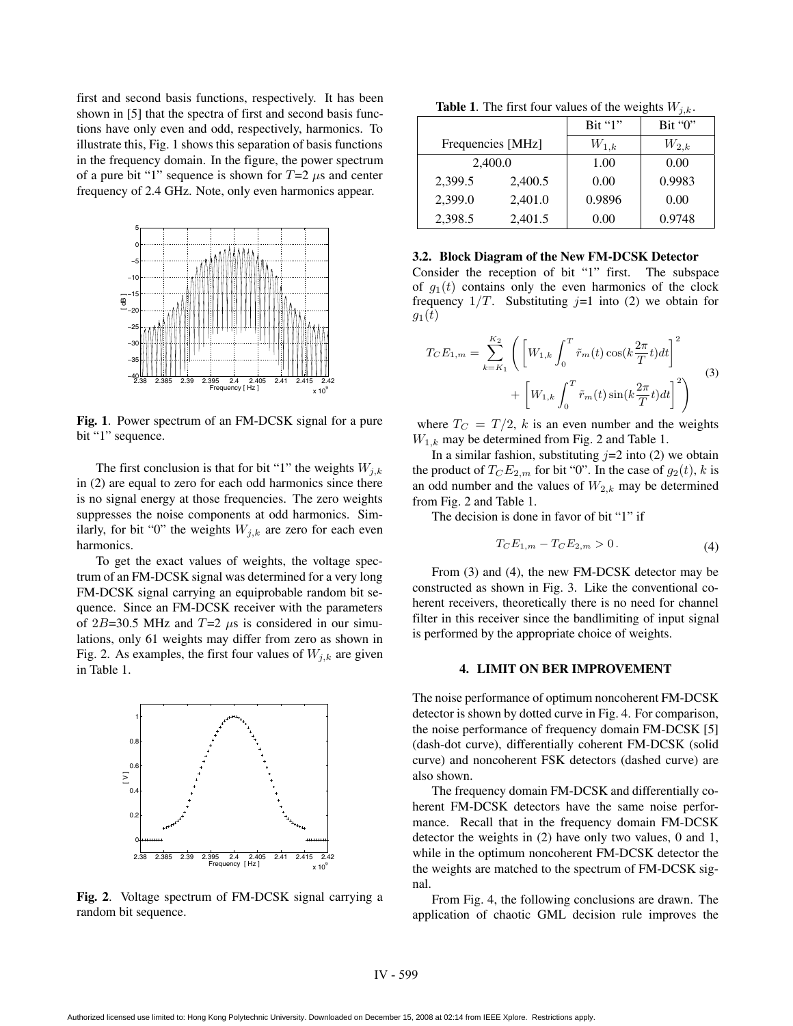first and second basis functions, respectively. It has been shown in [5] that the spectra of first and second basis functions have only even and odd, respectively, harmonics. To illustrate this, Fig. 1 shows this separation of basis functions in the frequency domain. In the figure, the power spectrum of a pure bit "1" sequence is shown for  $T=2 \mu s$  and center frequency of 2.4 GHz. Note, only even harmonics appear.



**Fig. 1**. Power spectrum of an FM-DCSK signal for a pure bit "1" sequence.

The first conclusion is that for bit "1" the weights  $W_{j,k}$ in (2) are equal to zero for each odd harmonics since there is no signal energy at those frequencies. The zero weights suppresses the noise components at odd harmonics. Similarly, for bit "0" the weights  $W_{j,k}$  are zero for each even harmonics.

To get the exact values of weights, the voltage spectrum of an FM-DCSK signal was determined for a very long FM-DCSK signal carrying an equiprobable random bit sequence. Since an FM-DCSK receiver with the parameters of 2B=30.5 MHz and  $T=2 \mu s$  is considered in our simulations, only 61 weights may differ from zero as shown in Fig. 2. As examples, the first four values of  $W_{j,k}$  are given in Table 1.



**Fig. 2**. Voltage spectrum of FM-DCSK signal carrying a random bit sequence.

**Table 1.** The first four values of the weights  $W_{j,k}$ .

|                   |         | Bit " $1$ " | Bit " $0$ " |
|-------------------|---------|-------------|-------------|
| Frequencies [MHz] |         | $W_{1,k}$   | $W_{2,k}$   |
| 2,400.0           |         | 1.00        | 0.00        |
| 2,399.5           | 2,400.5 | 0.00        | 0.9983      |
| 2,399.0           | 2,401.0 | 0.9896      | 0.00        |
| 2,398.5           | 2,401.5 | 0.00        | 0.9748      |

# **3.2. Block Diagram of the New FM-DCSK Detector**

Consider the reception of bit "1" first. The subspace of  $q_1(t)$  contains only the even harmonics of the clock frequency  $1/T$ . Substituting  $j=1$  into (2) we obtain for  $g_1(t)$ 

$$
T_{C}E_{1,m} = \sum_{k=K_{1}}^{K_{2}} \left( \left[ W_{1,k} \int_{0}^{T} \tilde{r}_{m}(t) \cos(k \frac{2\pi}{T} t) dt \right]^{2} + \left[ W_{1,k} \int_{0}^{T} \tilde{r}_{m}(t) \sin(k \frac{2\pi}{T} t) dt \right]^{2} \right)
$$
(3)

where  $T_C = T/2$ , k is an even number and the weights  $W_{1,k}$  may be determined from Fig. 2 and Table 1.

In a similar fashion, substituting  $j=2$  into (2) we obtain the product of  $T_{C}E_{2,m}$  for bit "0". In the case of  $g_2(t)$ , k is an odd number and the values of  $W_{2,k}$  may be determined from Fig. 2 and Table 1.

The decision is done in favor of bit "1" if

$$
T_C E_{1,m} - T_C E_{2,m} > 0.
$$
 (4)

From (3) and (4), the new FM-DCSK detector may be constructed as shown in Fig. 3. Like the conventional coherent receivers, theoretically there is no need for channel filter in this receiver since the bandlimiting of input signal is performed by the appropriate choice of weights.

### **4. LIMIT ON BER IMPROVEMENT**

The noise performance of optimum noncoherent FM-DCSK detector is shown by dotted curve in Fig. 4. For comparison, the noise performance of frequency domain FM-DCSK [5] (dash-dot curve), differentially coherent FM-DCSK (solid curve) and noncoherent FSK detectors (dashed curve) are also shown.

The frequency domain FM-DCSK and differentially coherent FM-DCSK detectors have the same noise performance. Recall that in the frequency domain FM-DCSK detector the weights in (2) have only two values, 0 and 1, while in the optimum noncoherent FM-DCSK detector the the weights are matched to the spectrum of FM-DCSK signal.

From Fig. 4, the following conclusions are drawn. The application of chaotic GML decision rule improves the